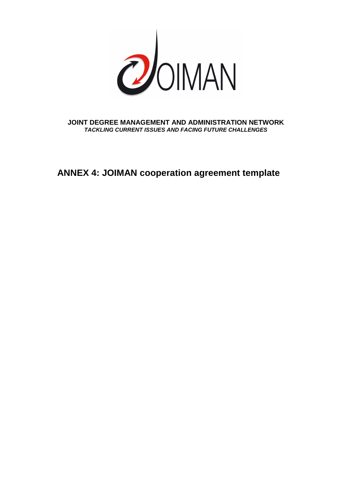

**JOINT DEGREE MANAGEMENT AND ADMINISTRATION NETWORK TACKLING CURRENT ISSUES AND FACING FUTURE CHALLENGES** 

**ANNEX 4: JOIMAN cooperation agreement template**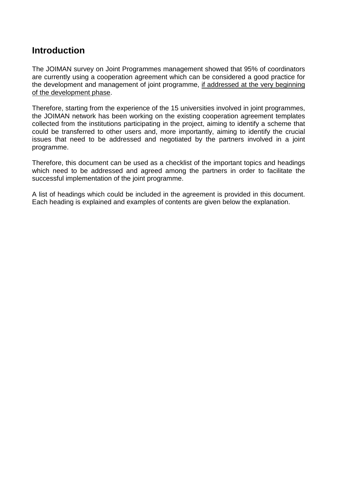# **Introduction**

The JOIMAN survey on Joint Programmes management showed that 95% of coordinators are currently using a cooperation agreement which can be considered a good practice for the development and management of joint programme, if addressed at the very beginning of the development phase.

Therefore, starting from the experience of the 15 universities involved in joint programmes, the JOIMAN network has been working on the existing cooperation agreement templates collected from the institutions participating in the project, aiming to identify a scheme that could be transferred to other users and, more importantly, aiming to identify the crucial issues that need to be addressed and negotiated by the partners involved in a joint programme.

Therefore, this document can be used as a checklist of the important topics and headings which need to be addressed and agreed among the partners in order to facilitate the successful implementation of the joint programme.

A list of headings which could be included in the agreement is provided in this document. Each heading is explained and examples of contents are given below the explanation.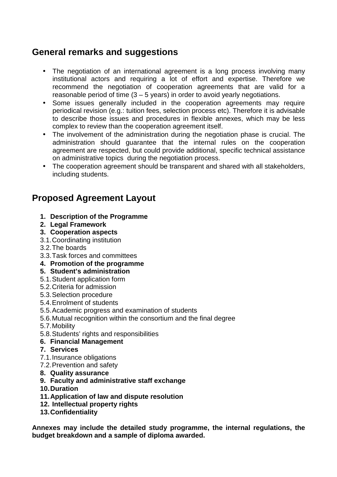# **General remarks and suggestions**

- The negotiation of an international agreement is a long process involving many institutional actors and requiring a lot of effort and expertise. Therefore we recommend the negotiation of cooperation agreements that are valid for a reasonable period of time  $(3 - 5$  years) in order to avoid yearly negotiations.
- Some issues generally included in the cooperation agreements may require periodical revision (e.g.: tuition fees, selection process etc). Therefore it is advisable to describe those issues and procedures in flexible annexes, which may be less complex to review than the cooperation agreement itself.
- The involvement of the administration during the negotiation phase is crucial. The administration should guarantee that the internal rules on the cooperation agreement are respected, but could provide additional, specific technical assistance on administrative topics during the negotiation process.
- The cooperation agreement should be transparent and shared with all stakeholders, including students.

# **Proposed Agreement Layout**

- **1. Description of the Programme**
- **2. Legal Framework**
- **3. Cooperation aspects**
- 3.1. Coordinating institution
- 3.2. The boards
- 3.3. Task forces and committees
- **4. Promotion of the programme**

## **5. Student's administration**

- 5.1. Student application form
- 5.2. Criteria for admission
- 5.3. Selection procedure
- 5.4. Enrolment of students
- 5.5. Academic progress and examination of students
- 5.6. Mutual recognition within the consortium and the final degree
- 5.7. Mobility
- 5.8. Students' rights and responsibilities
- **6. Financial Management**
- **7. Services**
- 7.1. Insurance obligations
- 7.2. Prevention and safety
- **8. Quality assurance**
- **9. Faculty and administrative staff exchange**
- **10. Duration**
- **11. Application of law and dispute resolution**
- **12. Intellectual property rights**
- **13. Confidentiality**

**Annexes may include the detailed study programme, the internal regulations, the budget breakdown and a sample of diploma awarded.**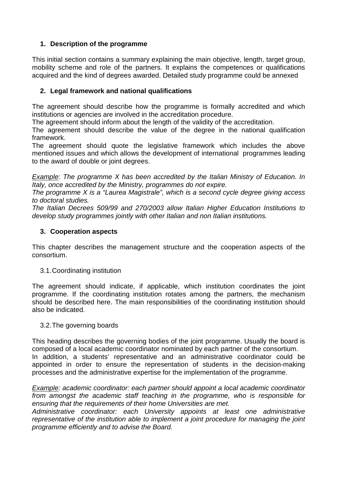## **1. Description of the programme**

This initial section contains a summary explaining the main objective, length, target group, mobility scheme and role of the partners. It explains the competences or qualifications acquired and the kind of degrees awarded. Detailed study programme could be annexed

## **2. Legal framework and national qualifications**

The agreement should describe how the programme is formally accredited and which institutions or agencies are involved in the accreditation procedure.

The agreement should inform about the length of the validity of the accreditation.

The agreement should describe the value of the degree in the national qualification framework.

The agreement should quote the legislative framework which includes the above mentioned issues and which allows the development of international programmes leading to the award of double or joint degrees.

Example: The programme X has been accredited by the Italian Ministry of Education. In Italy, once accredited by the Ministry, programmes do not expire.

The programme X is a "Laurea Magistrale", which is a second cycle degree giving access to doctoral studies.

The Italian Decrees 509/99 and 270/2003 allow Italian Higher Education Institutions to develop study programmes jointly with other Italian and non Italian institutions.

## **3. Cooperation aspects**

This chapter describes the management structure and the cooperation aspects of the consortium.

## 3.1. Coordinating institution

The agreement should indicate, if applicable, which institution coordinates the joint programme. If the coordinating institution rotates among the partners, the mechanism should be described here. The main responsibilities of the coordinating institution should also be indicated.

## 3.2. The governing boards

This heading describes the governing bodies of the joint programme. Usually the board is composed of a local academic coordinator nominated by each partner of the consortium. In addition, a students' representative and an administrative coordinator could be appointed in order to ensure the representation of students in the decision-making processes and the administrative expertise for the implementation of the programme.

Example: academic coordinator: each partner should appoint a local academic coordinator from amongst the academic staff teaching in the programme, who is responsible for ensuring that the requirements of their home Universities are met.

Administrative coordinator: each University appoints at least one administrative representative of the institution able to implement a joint procedure for managing the joint programme efficiently and to advise the Board.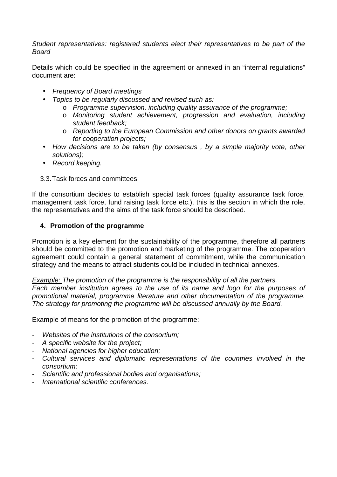Student representatives: registered students elect their representatives to be part of the Board

Details which could be specified in the agreement or annexed in an "internal regulations" document are:

- Frequency of Board meetings
- Topics to be regularly discussed and revised such as:
	- o Programme supervision, including quality assurance of the programme;
	- o Monitoring student achievement, progression and evaluation, including student feedback;
	- o Reporting to the European Commission and other donors on grants awarded for cooperation projects;
- How decisions are to be taken (by consensus, by a simple majority vote, other solutions);
- Record keeping.

3.3. Task forces and committees

If the consortium decides to establish special task forces (quality assurance task force, management task force, fund raising task force etc.), this is the section in which the role, the representatives and the aims of the task force should be described.

#### **4. Promotion of the programme**

Promotion is a key element for the sustainability of the programme, therefore all partners should be committed to the promotion and marketing of the programme. The cooperation agreement could contain a general statement of commitment, while the communication strategy and the means to attract students could be included in technical annexes.

Example: The promotion of the programme is the responsibility of all the partners. Each member institution agrees to the use of its name and logo for the purposes of promotional material, programme literature and other documentation of the programme. The strategy for promoting the programme will be discussed annually by the Board.

Example of means for the promotion of the programme:

- Websites of the institutions of the consortium;
- A specific website for the project;
- National agencies for higher education;
- Cultural services and diplomatic representations of the countries involved in the consortium;
- Scientific and professional bodies and organisations;
- International scientific conferences.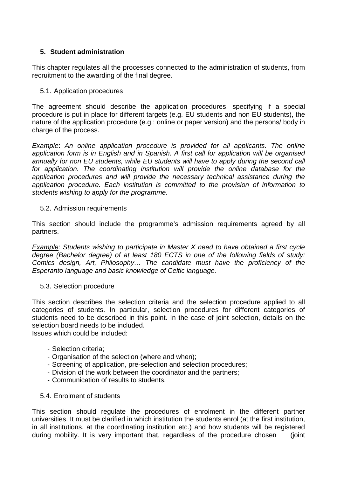## **5. Student administration**

This chapter regulates all the processes connected to the administration of students, from recruitment to the awarding of the final degree.

5.1. Application procedures

The agreement should describe the application procedures, specifying if a special procedure is put in place for different targets (e.g. EU students and non EU students), the nature of the application procedure (e.g.: online or paper version) and the persons/ body in charge of the process.

Example: An online application procedure is provided for all applicants. The online application form is in English and in Spanish. A first call for application will be organised annually for non EU students, while EU students will have to apply during the second call for application. The coordinating institution will provide the online database for the application procedures and will provide the necessary technical assistance during the application procedure. Each institution is committed to the provision of information to students wishing to apply for the programme.

#### 5.2. Admission requirements

This section should include the programme's admission requirements agreed by all partners.

Example: Students wishing to participate in Master X need to have obtained a first cycle degree (Bachelor degree) of at least 180 ECTS in one of the following fields of study: Comics design, Art, Philosophy… The candidate must have the proficiency of the Esperanto language and basic knowledge of Celtic language.

#### 5.3. Selection procedure

This section describes the selection criteria and the selection procedure applied to all categories of students. In particular, selection procedures for different categories of students need to be described in this point. In the case of joint selection, details on the selection board needs to be included.

Issues which could be included:

- Selection criteria;
- Organisation of the selection (where and when);
- Screening of application, pre-selection and selection procedures;
- Division of the work between the coordinator and the partners;
- Communication of results to students.

#### 5.4. Enrolment of students

This section should regulate the procedures of enrolment in the different partner universities. It must be clarified in which institution the students enrol (at the first institution, in all institutions, at the coordinating institution etc.) and how students will be registered during mobility. It is very important that, regardless of the procedure chosen (joint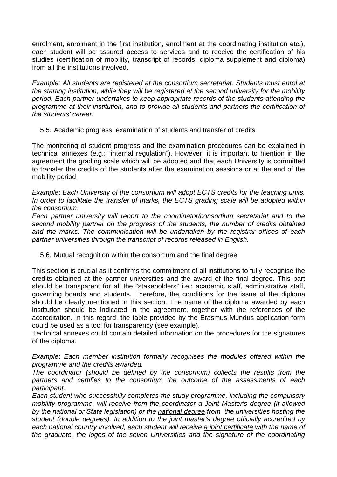enrolment, enrolment in the first institution, enrolment at the coordinating institution etc.), each student will be assured access to services and to receive the certification of his studies (certification of mobility, transcript of records, diploma supplement and diploma) from all the institutions involved.

Example: All students are registered at the consortium secretariat. Students must enrol at the starting institution, while they will be registered at the second university for the mobility period. Each partner undertakes to keep appropriate records of the students attending the programme at their institution, and to provide all students and partners the certification of the students' career.

5.5. Academic progress, examination of students and transfer of credits

The monitoring of student progress and the examination procedures can be explained in technical annexes (e.g.: "internal regulation"). However, it is important to mention in the agreement the grading scale which will be adopted and that each University is committed to transfer the credits of the students after the examination sessions or at the end of the mobility period.

Example: Each University of the consortium will adopt ECTS credits for the teaching units. In order to facilitate the transfer of marks, the ECTS grading scale will be adopted within the consortium.

Each partner university will report to the coordinator/consortium secretariat and to the second mobility partner on the progress of the students, the number of credits obtained and the marks. The communication will be undertaken by the registrar offices of each partner universities through the transcript of records released in English.

5.6. Mutual recognition within the consortium and the final degree

This section is crucial as it confirms the commitment of all institutions to fully recognise the credits obtained at the partner universities and the award of the final degree. This part should be transparent for all the "stakeholders" i.e.: academic staff, administrative staff, governing boards and students. Therefore, the conditions for the issue of the diploma should be clearly mentioned in this section. The name of the diploma awarded by each institution should be indicated in the agreement, together with the references of the accreditation. In this regard, the table provided by the Erasmus Mundus application form could be used as a tool for transparency (see example).

Technical annexes could contain detailed information on the procedures for the signatures of the diploma.

Example: Each member institution formally recognises the modules offered within the programme and the credits awarded.

The coordinator (should be defined by the consortium) collects the results from the partners and certifies to the consortium the outcome of the assessments of each participant.

Each student who successfully completes the study programme, including the compulsory mobility programme, will receive from the coordinator a Joint Master's degree (if allowed by the national or State legislation) or the national degree from the universities hosting the student (double degrees). In addition to the joint master's degree officially accredited by each national country involved, each student will receive a joint certificate with the name of the graduate, the logos of the seven Universities and the signature of the coordinating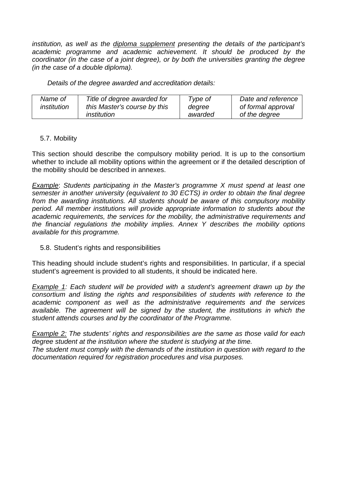institution, as well as the diploma supplement presenting the details of the participant's academic programme and academic achievement. It should be produced by the coordinator (in the case of a joint degree), or by both the universities granting the degree (in the case of a double diploma).

Details of the degree awarded and accreditation details:

| Name of            | Title of degree awarded for  | Type of | Date and reference |
|--------------------|------------------------------|---------|--------------------|
| <i>institution</i> | this Master's course by this | degree  | of formal approval |
|                    | institution                  | awarded | of the degree      |

#### 5.7. Mobility

This section should describe the compulsory mobility period. It is up to the consortium whether to include all mobility options within the agreement or if the detailed description of the mobility should be described in annexes.

Example: Students participating in the Master's programme X must spend at least one semester in another university (equivalent to 30 ECTS) in order to obtain the final degree from the awarding institutions. All students should be aware of this compulsory mobility period. All member institutions will provide appropriate information to students about the academic requirements, the services for the mobility, the administrative requirements and the financial regulations the mobility implies. Annex Y describes the mobility options available for this programme.

#### 5.8. Student's rights and responsibilities

This heading should include student's rights and responsibilities. In particular, if a special student's agreement is provided to all students, it should be indicated here.

Example 1: Each student will be provided with a student's agreement drawn up by the consortium and listing the rights and responsibilities of students with reference to the academic component as well as the administrative requirements and the services available. The agreement will be signed by the student, the institutions in which the student attends courses and by the coordinator of the Programme.

Example 2: The students' rights and responsibilities are the same as those valid for each degree student at the institution where the student is studying at the time. The student must comply with the demands of the institution in question with regard to the documentation required for registration procedures and visa purposes.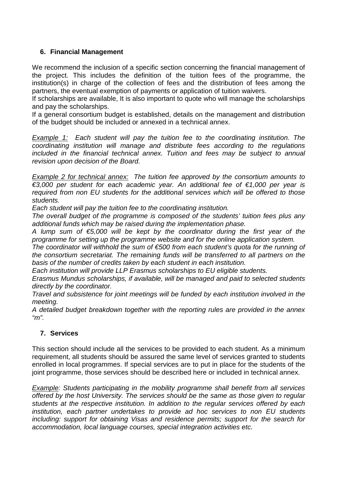## **6. Financial Management**

We recommend the inclusion of a specific section concerning the financial management of the project. This includes the definition of the tuition fees of the programme, the institution(s) in charge of the collection of fees and the distribution of fees among the partners, the eventual exemption of payments or application of tuition waivers.

If scholarships are available, It is also important to quote who will manage the scholarships and pay the scholarships.

If a general consortium budget is established, details on the management and distribution of the budget should be included or annexed in a technical annex.

Example 1: Each student will pay the tuition fee to the coordinating institution. The coordinating institution will manage and distribute fees according to the regulations included in the financial technical annex. Tuition and fees may be subject to annual revision upon decision of the Board.

Example 2 for technical annex: The tuition fee approved by the consortium amounts to €3,000 per student for each academic year. An additional fee of €1,000 per year is required from non EU students for the additional services which will be offered to those students.

Each student will pay the tuition fee to the coordinating institution.

The overall budget of the programme is composed of the students' tuition fees plus any additional funds which may be raised during the implementation phase.

A lump sum of  $\epsilon$ 5,000 will be kept by the coordinator during the first year of the programme for setting up the programme website and for the online application system.

The coordinator will withhold the sum of  $\epsilon$ 500 from each student's quota for the running of the consortium secretariat. The remaining funds will be transferred to all partners on the basis of the number of credits taken by each student in each institution.

Each institution will provide LLP Erasmus scholarships to EU eligible students.

Erasmus Mundus scholarships, if available, will be managed and paid to selected students directly by the coordinator.

Travel and subsistence for joint meetings will be funded by each institution involved in the meeting.

A detailed budget breakdown together with the reporting rules are provided in the annex  $\mathbf{m}$ ".

## **7. Services**

This section should include all the services to be provided to each student. As a minimum requirement, all students should be assured the same level of services granted to students enrolled in local programmes. If special services are to put in place for the students of the joint programme, those services should be described here or included in technical annex.

Example: Students participating in the mobility programme shall benefit from all services offered by the host University. The services should be the same as those given to regular students at the respective institution. In addition to the regular services offered by each institution, each partner undertakes to provide ad hoc services to non EU students including: support for obtaining Visas and residence permits; support for the search for accommodation, local language courses, special integration activities etc.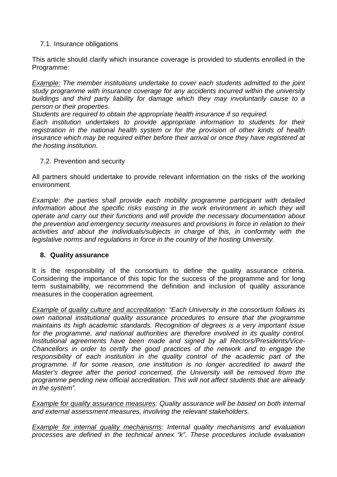## 7.1. Insurance obligations

This article should clarify which insurance coverage is provided to students enrolled in the Programme:

Example: The member institutions undertake to cover each students admitted to the joint study programme with insurance coverage for any accidents incurred within the university buildings and third party liability for damage which they may involuntarily cause to a person or their properties.

Students are required to obtain the appropriate health insurance if so required.

Each institution undertakes to provide appropriate information to students for their registration in the national health system or for the provision of other kinds of health insurance which may be required either before their arrival or once they have registered at the hosting institution.

#### 7.2. Prevention and security

All partners should undertake to provide relevant information on the risks of the working environment.

Example: the parties shall provide each mobility programme participant with detailed information about the specific risks existing in the work environment in which they will operate and carry out their functions and will provide the necessary documentation about the prevention and emergency security measures and provisions in force in relation to their activities and about the individuals/subjects in charge of this, in conformity with the legislative norms and regulations in force in the country of the hosting University.

## **8. Quality assurance**

It is the responsibility of the consortium to define the quality assurance criteria. Considering the importance of this topic for the success of the programme and for long term sustainability, we recommend the definition and inclusion of quality assurance measures in the cooperation agreement.

Example of quality culture and accreditation: "Each University in the consortium follows its own national institutional quality assurance procedures to ensure that the programme maintains its high academic standards. Recognition of degrees is a very important issue for the programme, and national authorities are therefore involved in its quality control. Institutional agreements have been made and signed by all Rectors/Presidents/Vice-Chancellors in order to certify the good practices of the network and to engage the responsibility of each institution in the quality control of the academic part of the programme. If for some reason, one institution is no longer accredited to award the Master's degree after the period concerned, the University will be removed from the programme pending new official accreditation. This will not affect students that are already in the system".

**Example for quality assurance measures:** Quality assurance will be based on both internal and external assessment measures, involving the relevant stakeholders.

Example for internal quality mechanisms: Internal quality mechanisms and evaluation processes are defined in the technical annex "k". These procedures include evaluation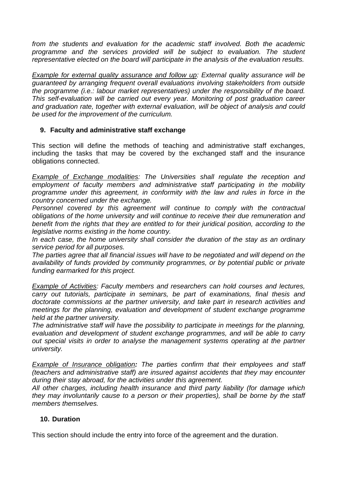from the students and evaluation for the academic staff involved. Both the academic programme and the services provided will be subject to evaluation. The student representative elected on the board will participate in the analysis of the evaluation results.

Example for external quality assurance and follow up: External quality assurance will be guaranteed by arranging frequent overall evaluations involving stakeholders from outside the programme (i.e.: labour market representatives) under the responsibility of the board. This self-evaluation will be carried out every year. Monitoring of post graduation career and graduation rate, together with external evaluation, will be object of analysis and could be used for the improvement of the curriculum.

## **9. Faculty and administrative staff exchange**

This section will define the methods of teaching and administrative staff exchanges, including the tasks that may be covered by the exchanged staff and the insurance obligations connected.

Example of Exchange modalities: The Universities shall regulate the reception and employment of faculty members and administrative staff participating in the mobility programme under this agreement, in conformity with the law and rules in force in the country concerned under the exchange.

Personnel covered by this agreement will continue to comply with the contractual obligations of the home university and will continue to receive their due remuneration and benefit from the rights that they are entitled to for their juridical position, according to the legislative norms existing in the home country.

In each case, the home university shall consider the duration of the stay as an ordinary service period for all purposes.

The parties agree that all financial issues will have to be negotiated and will depend on the availability of funds provided by community programmes, or by potential public or private funding earmarked for this project.

**Example of Activities: Faculty members and researchers can hold courses and lectures,** carry out tutorials, participate in seminars, be part of examinations, final thesis and doctorate commissions at the partner university, and take part in research activities and meetings for the planning, evaluation and development of student exchange programme held at the partner university.

The administrative staff will have the possibility to participate in meetings for the planning, evaluation and development of student exchange programmes, and will be able to carry out special visits in order to analyse the management systems operating at the partner university.

Example of Insurance obligation**:** The parties confirm that their employees and staff (teachers and administrative staff) are insured against accidents that they may encounter during their stay abroad, for the activities under this agreement.

All other charges, including health insurance and third party liability (for damage which they may involuntarily cause to a person or their properties), shall be borne by the staff members themselves.

## **10. Duration**

This section should include the entry into force of the agreement and the duration.